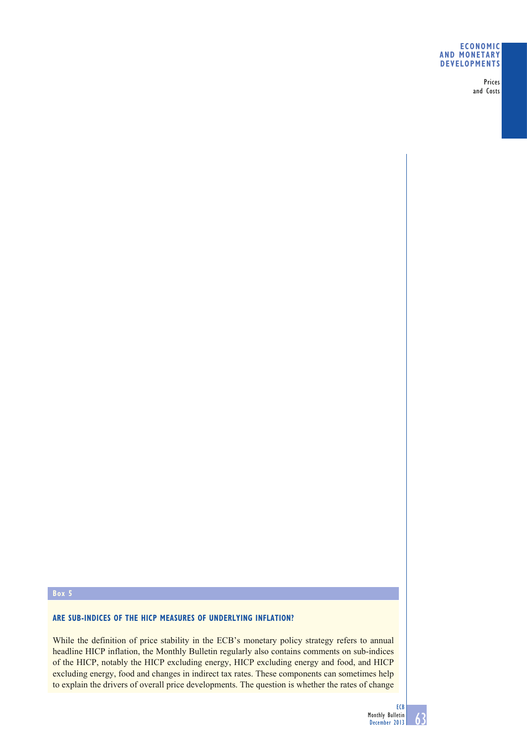### **ECONOMIC AND MONETARY DEVELOPMENTS**

Prices and Costs

## **Box 5**

## **ARE SUB-INDICES OF THE HICP MEASURES OF UNDERLYING INFLATION?**

While the definition of price stability in the ECB's monetary policy strategy refers to annual headline HICP inflation, the Monthly Bulletin regularly also contains comments on sub-indices of the HICP, notably the HICP excluding energy, HICP excluding energy and food, and HICP excluding energy, food and changes in indirect tax rates. These components can sometimes help to explain the drivers of overall price developments. The question is whether the rates of change

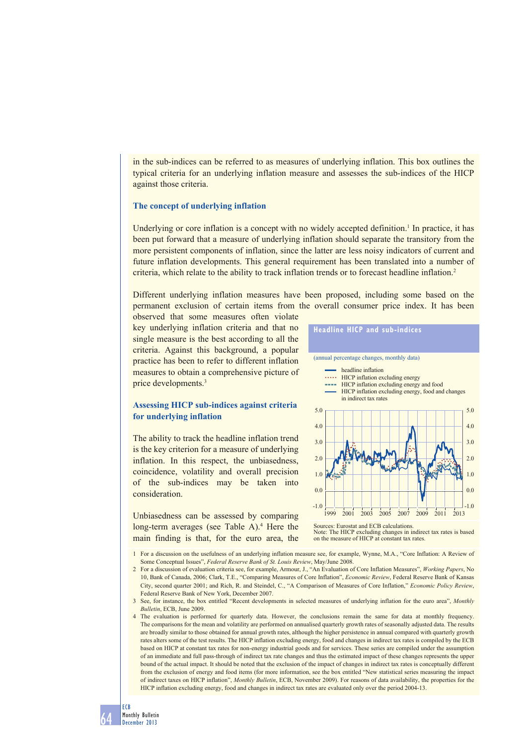in the sub-indices can be referred to as measures of underlying inflation. This box outlines the typical criteria for an underlying inflation measure and assesses the sub-indices of the HICP against those criteria.

### **The concept of underlying inflation**

Underlying or core inflation is a concept with no widely accepted definition.<sup>1</sup> In practice, it has been put forward that a measure of underlying inflation should separate the transitory from the more persistent components of inflation, since the latter are less noisy indicators of current and future inflation developments. This general requirement has been translated into a number of criteria, which relate to the ability to track inflation trends or to forecast headline inflation.2

Different underlying inflation measures have been proposed, including some based on the permanent exclusion of certain items from the overall consumer price index. It has been

observed that some measures often violate key underlying inflation criteria and that no single measure is the best according to all the criteria. Against this background, a popular practice has been to refer to different inflation measures to obtain a comprehensive picture of price developments.<sup>3</sup>

## **Assessing HICP sub-indices against criteria for underlying inflation**

The ability to track the headline inflation trend is the key criterion for a measure of underlying inflation. In this respect, the unbiasedness, coincidence, volatility and overall precision of the sub-indices may be taken into consideration.

Unbiasedness can be assessed by comparing long-term averages (see Table A).<sup>4</sup> Here the main finding is that, for the euro area, the



Sources: Eurostat and ECB calculations. Note: The HICP excluding changes in indirect tax rates is based on the measure of HICP at constant tax rates.

- 1 For a discussion on the usefulness of an underlying inflation measure see, for example, Wynne, M.A., "Core Inflation: A Review of Some Conceptual Issues", *Federal Reserve Bank of St. Louis Review*, May/June 2008.
- 2 For a discussion of evaluation criteria see, for example, Armour, J., "An Evaluation of Core Inflation Measures", *Working Papers*, No 10, Bank of Canada, 2006; Clark, T.E., "Comparing Measures of Core Inflation", *Economic Review*, Federal Reserve Bank of Kansas City, second quarter 2001; and Rich, R. and Steindel, C., "A Comparison of Measures of Core Inflation," *Economic Policy Review*, Federal Reserve Bank of New York, December 2007.
- 3 See, for instance, the box entitled "Recent developments in selected measures of underlying inflation for the euro area", *Monthly Bulletin*, ECB, June 2009.
- 4 The evaluation is performed for quarterly data. However, the conclusions remain the same for data at monthly frequency. The comparisons for the mean and volatility are performed on annualised quarterly growth rates of seasonally adjusted data. The results are broadly similar to those obtained for annual growth rates, although the higher persistence in annual compared with quarterly growth rates alters some of the test results. The HICP inflation excluding energy, food and changes in indirect tax rates is compiled by the ECB based on HICP at constant tax rates for non-energy industrial goods and for services. These series are compiled under the assumption of an immediate and full pass-through of indirect tax rate changes and thus the estimated impact of these changes represents the upper bound of the actual impact. It should be noted that the exclusion of the impact of changes in indirect tax rates is conceptually different from the exclusion of energy and food items (for more information, see the box entitled "New statistical series measuring the impact of indirect taxes on HICP inflation", *Monthly Bulletin*, ECB, November 2009). For reasons of data availability, the properties for the HICP inflation excluding energy, food and changes in indirect tax rates are evaluated only over the period 2004-13.

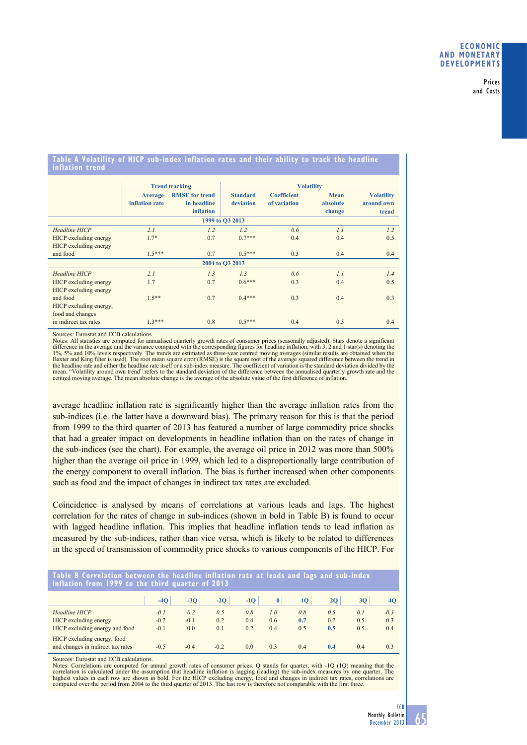Prices and Costs

### **Table A Volatility of HICP sub-index inflation rates and their ability to track the headline inflation trend**

|                                                        |                                  | <b>Trend tracking</b>                                    | <b>Volatility</b>            |                                    |                                   |                                          |  |  |  |  |  |  |
|--------------------------------------------------------|----------------------------------|----------------------------------------------------------|------------------------------|------------------------------------|-----------------------------------|------------------------------------------|--|--|--|--|--|--|
|                                                        | <b>Average</b><br>inflation rate | <b>RMSE</b> for trend<br>in headline<br><b>inflation</b> | <b>Standard</b><br>deviation | <b>Coefficient</b><br>of variation | <b>Mean</b><br>absolute<br>change | <b>Volatility</b><br>around own<br>trend |  |  |  |  |  |  |
| 1999 to O3 2013                                        |                                  |                                                          |                              |                                    |                                   |                                          |  |  |  |  |  |  |
| Headline HICP<br>HICP excluding energy                 | 2.1<br>$1.7*$                    | 1.2<br>0.7                                               | 1.2<br>$0.7***$              | 0.6<br>0.4                         | 1.1<br>0.4                        | 1.2<br>0.5                               |  |  |  |  |  |  |
| HICP excluding energy<br>and food                      | $1.5***$                         | 0.7                                                      | $0.5***$                     | 0.3                                | 0.4                               | 0.4                                      |  |  |  |  |  |  |
| 2004 to O3 2013                                        |                                  |                                                          |                              |                                    |                                   |                                          |  |  |  |  |  |  |
| Headline HICP                                          | 2.1                              | 1.3                                                      | 1.3                          | 0.6                                | 1.1                               | 1.4                                      |  |  |  |  |  |  |
| HICP excluding energy<br>HICP excluding energy         | 1.7                              | 0.7                                                      | $0.6***$                     | 0.3                                | 0.4                               | 0.5                                      |  |  |  |  |  |  |
| and food<br>HICP excluding energy,<br>food and changes | $1.5**$                          | 0.7                                                      | $0.4***$                     | 0.3                                | 0.4                               | 0.3                                      |  |  |  |  |  |  |
| in indirect tax rates                                  | $1.3***$                         | 0.8                                                      | $0.5***$                     | 0.4                                | 0.5                               | 0.4                                      |  |  |  |  |  |  |

Sources: Eurostat and ECB calculations.

Notes: All statistics are computed for annualised quarterly growth rates of consumer prices (seasonally adjusted). Stars denote a significant<br>difference in the average and the variance compared with the corresponding figur Baxter and King filter is used). The root mean square error (RMSE) is the square root of the average squared difference between the trend in<br>the headline rate and either the headline rate itself or a sub-index measure. The mean. "Volatility around own trend" refers to the standard deviation of the difference between the annualised quarterly growth rate and the centred moving average. The mean absolute change is the average of the absolute va

average headline inflation rate is significantly higher than the average inflation rates from the sub-indices (i.e. the latter have a downward bias). The primary reason for this is that the period from 1999 to the third quarter of 2013 has featured a number of large commodity price shocks that had a greater impact on developments in headline inflation than on the rates of change in the sub-indices (see the chart). For example, the average oil price in 2012 was more than 500% higher than the average oil price in 1999, which led to a disproportionally large contribution of the energy component to overall inflation. The bias is further increased when other components such as food and the impact of changes in indirect tax rates are excluded.

Coincidence is analysed by means of correlations at various leads and lags. The highest correlation for the rates of change in sub-indices (shown in bold in Table B) is found to occur with lagged headline inflation. This implies that headline inflation tends to lead inflation as measured by the sub-indices, rather than vice versa, which is likely to be related to differences in the speed of transmission of commodity price shocks to various components of the HICP. For

| Table B Correlation between the headline inflation rate at leads and lags and sub-index<br>inflation from 1999 to the third quarter of 2013 |        |        |        |                |     |     |     |     |                |  |  |  |  |
|---------------------------------------------------------------------------------------------------------------------------------------------|--------|--------|--------|----------------|-----|-----|-----|-----|----------------|--|--|--|--|
|                                                                                                                                             | $-40$  | $-30$  | $-2Q$  | $-1O$          |     | 10  | 20  | 30  | 4Q             |  |  |  |  |
| Headline HICP                                                                                                                               | $-0.1$ | 0.2    | 0.5    | 0.8            | 1.0 | 0.8 | 0.5 | 0.1 | $-0.3$         |  |  |  |  |
| HICP excluding energy                                                                                                                       | $-0.2$ | $-0.1$ | 0.2    | 0.4            | 0.6 | 0.7 | 0.7 | 0.5 | 0.3            |  |  |  |  |
| HICP excluding energy and food                                                                                                              | $-0.1$ | 0.0    | 0.1    | 0.2            | 0.4 | 0.5 | 0.5 | 0.5 | 0.4            |  |  |  |  |
| HICP excluding energy, food<br>and changes in indirect tax rates                                                                            | $-0.5$ | $-0.4$ | $-0.2$ | 0 <sub>0</sub> | 0.3 | 0.4 | 0.4 | 0.4 | 0 <sub>3</sub> |  |  |  |  |

Sources: Eurostat and ECB calculations.

Notes: Correlations are computed for annual growth rates of consumer prices. Q stands for quarter, with -1Q (1Q) meaning that the correlation is calculated under the assumption that headline inflation is lagging (leading) the sub-index measures by one quarter. The<br>highest values in each row are shown in bold. For the HICP excluding energy, food and c computed over the period from 2004 to the third quarter of 2013. The last row is therefore not comparable with the first three.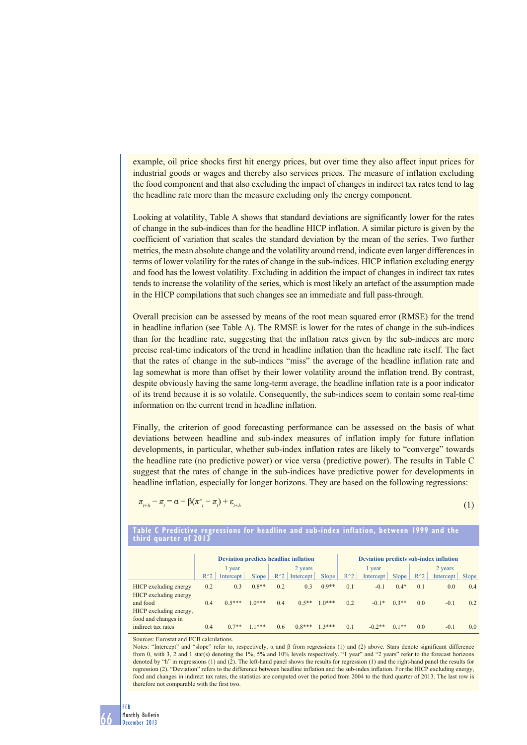example, oil price shocks first hit energy prices, but over time they also affect input prices for industrial goods or wages and thereby also services prices. The measure of inflation excluding the food component and that also excluding the impact of changes in indirect tax rates tend to lag the headline rate more than the measure excluding only the energy component.

Looking at volatility, Table A shows that standard deviations are significantly lower for the rates of change in the sub-indices than for the headline HICP inflation. A similar picture is given by the coefficient of variation that scales the standard deviation by the mean of the series. Two further metrics, the mean absolute change and the volatility around trend, indicate even larger differences in terms of lower volatility for the rates of change in the sub-indices. HICP inflation excluding energy and food has the lowest volatility. Excluding in addition the impact of changes in indirect tax rates tends to increase the volatility of the series, which is most likely an artefact of the assumption made in the HICP compilations that such changes see an immediate and full pass-through.

Overall precision can be assessed by means of the root mean squared error (RMSE) for the trend in headline inflation (see Table A). The RMSE is lower for the rates of change in the sub-indices than for the headline rate, suggesting that the inflation rates given by the sub-indices are more precise real-time indicators of the trend in headline inflation than the headline rate itself. The fact that the rates of change in the sub-indices "miss" the average of the headline inflation rate and lag somewhat is more than offset by their lower volatility around the inflation trend. By contrast, despite obviously having the same long-term average, the headline inflation rate is a poor indicator of its trend because it is so volatile. Consequently, the sub-indices seem to contain some real-time information on the current trend in headline inflation.

Finally, the criterion of good forecasting performance can be assessed on the basis of what deviations between headline and sub-index measures of inflation imply for future inflation developments, in particular, whether sub-index inflation rates are likely to "converge" towards the headline rate (no predictive power) or vice versa (predictive power). The results in Table C suggest that the rates of change in the sub-indices have predictive power for developments in headline inflation, especially for longer horizons. They are based on the following regressions:

$$
\pi_{t+h} - \pi_t = \alpha + \beta(\pi_{t}^s - \pi_t) + \varepsilon_{t+h}
$$
\n<sup>(1)</sup>

# **third quarter of 2013 Deviation predicts headline inflation Deviation predicts sub-index inflation** 1 year 2 years 1 year 2 years 2 years 2 years 2 years 2 years 2 years 2 years 2 years 2 years 2 years 2 years

**Table C Predictive regressions for headline and sub-index inflation, between 1999 and the** 

 $R^2$  Intercept Slope R<sup>^2</sup> Intercept Slope R<sup>^2</sup> Intercept Slope R<sup>^2</sup> Intercept Slope HICP excluding energy 0.2 0.3 0.8\*\* 0.2 0.3 0.9\*\* 0.1 -0.1 0.4\* 0.1 0.0 0.4 HICP excluding energy and food  $0.4$   $0.5***$   $1.0***$   $0.4$   $0.5**$   $1.0***$   $0.2$   $-0.1*$   $0.3**$   $0.0$   $-0.1$   $0.2$ HICP excluding energy, food and changes in indirect tax rates 0.4 0.7\*\* 1.1\*\*\* 0.6 0.8\*\*\* 1.3\*\*\* 0.1 -0.2\*\* 0.1\*\* 0.0 -0.1 0.0

Sources: Eurostat and ECB calculations.

Notes: "Intercept" and "slope" refer to, respectively,  $\alpha$  and  $\beta$  from regressions (1) and (2) above. Stars denote significant difference from 0, with 3, 2 and 1 star(s) denoting the 1%, 5% and 10% levels respectively. "1 year" and "2 years" refer to the forecast horizons denoted by "h" in regressions (1) and (2). The left-hand panel shows the results for regression (1) and the right-hand panel the results for regression (2). "Deviation" refers to the difference between headline inflation and the sub-index inflation. For the HICP excluding energy, food and changes in indirect tax rates, the statistics are computed over the period from 2004 to the third quarter of 2013. The last row is therefore not comparable with the first two.